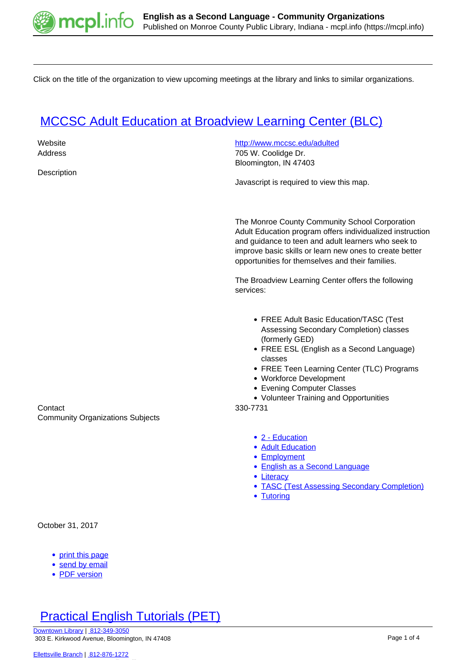

Click on the title of the organization to view upcoming meetings at the library and links to similar organizations.

# **[MCCSC Adult Education at Broadview Learning Center \(BLC\)](https://mcpl.info/commorg/mccsc-adult-education-broadview-learning-center-blc)**

| Website<br>Address<br>Description                        | http://www.mccsc.edu/adulted<br>705 W. Coolidge Dr.<br>Bloomington, IN 47403<br>Javascript is required to view this map.                                                                                                                                                                                                                |
|----------------------------------------------------------|-----------------------------------------------------------------------------------------------------------------------------------------------------------------------------------------------------------------------------------------------------------------------------------------------------------------------------------------|
|                                                          | The Monroe County Community School Corporation<br>Adult Education program offers individualized instruction<br>and guidance to teen and adult learners who seek to<br>improve basic skills or learn new ones to create better<br>opportunities for themselves and their families.<br>The Broadview Learning Center offers the following |
|                                                          | services:                                                                                                                                                                                                                                                                                                                               |
| Contact<br><b>Community Organizations Subjects</b>       | • FREE Adult Basic Education/TASC (Test<br>Assessing Secondary Completion) classes<br>(formerly GED)<br>• FREE ESL (English as a Second Language)<br>classes<br>• FREE Teen Learning Center (TLC) Programs<br>• Workforce Development<br>• Evening Computer Classes<br>• Volunteer Training and Opportunities<br>330-7731               |
|                                                          | • 2 - Education<br>• Adult Education<br>• Employment<br>• English as a Second Language<br>• Literacy<br>• TASC (Test Assessing Secondary Completion)<br>• Tutoring                                                                                                                                                                      |
| October 31, 2017                                         |                                                                                                                                                                                                                                                                                                                                         |
| • print this page<br>send by email<br><b>PDF</b> version |                                                                                                                                                                                                                                                                                                                                         |

**[Practical English Tutorials \(PET\)](https://mcpl.info/commorg/practical-english-tutorials-pet)**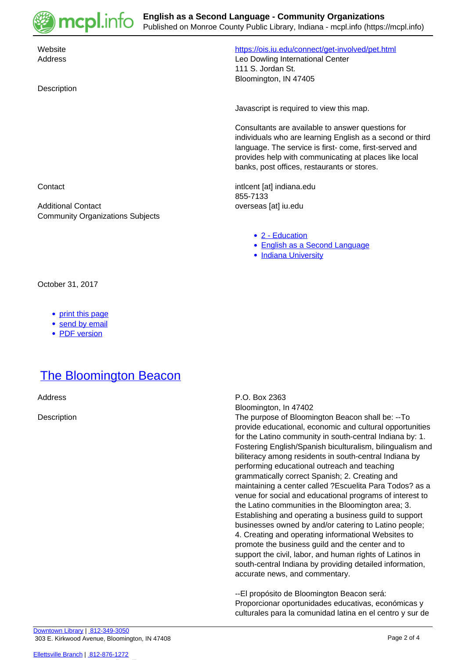

Bloomington, IN 47405

**Description** 

 Website <https://ois.iu.edu/connect/get-involved/pet.html> Address Leo Dowling International Center 111 S. Jordan St.

Javascript is required to view this map.

Consultants are available to answer questions for individuals who are learning English as a second or third language. The service is first- come, first-served and provides help with communicating at places like local banks, post offices, restaurants or stores.

Contact intlcent [at] indiana.edu 855-7133

- [2 Education](https://mcpl.info/community-organization-subjects/24947)
- [English as a Second Language](https://mcpl.info/community-organization-subjects/english-second-language)
- [Indiana University](https://mcpl.info/community-organization-subjects/indiana-university)

Additional Contact **Additional Contact overseas** [at] iu.edu Community Organizations Subjects

October 31, 2017

- [print this page](https://mcpl.info/print/commorg/practical-english-tutorials-pet)
- [send by email](https://mcpl.info/printmail/commorg/practical-english-tutorials-pet)
- [PDF version](https://mcpl.info/printpdf/commorg/practical-english-tutorials-pet)

### **[The Bloomington Beacon](https://mcpl.info/commorg/bloomington-beacon)**

Address P.O. Box 2363

Bloomington, In 47402

Description The purpose of Bloomington Beacon shall be: --To provide educational, economic and cultural opportunities for the Latino community in south-central Indiana by: 1. Fostering English/Spanish biculturalism, bilingualism and biliteracy among residents in south-central Indiana by performing educational outreach and teaching grammatically correct Spanish; 2. Creating and maintaining a center called ?Escuelita Para Todos? as a venue for social and educational programs of interest to the Latino communities in the Bloomington area; 3. Establishing and operating a business guild to support businesses owned by and/or catering to Latino people; 4. Creating and operating informational Websites to promote the business guild and the center and to support the civil, labor, and human rights of Latinos in south-central Indiana by providing detailed information, accurate news, and commentary.

> --El propósito de Bloomington Beacon será: Proporcionar oportunidades educativas, económicas y culturales para la comunidad latina en el centro y sur de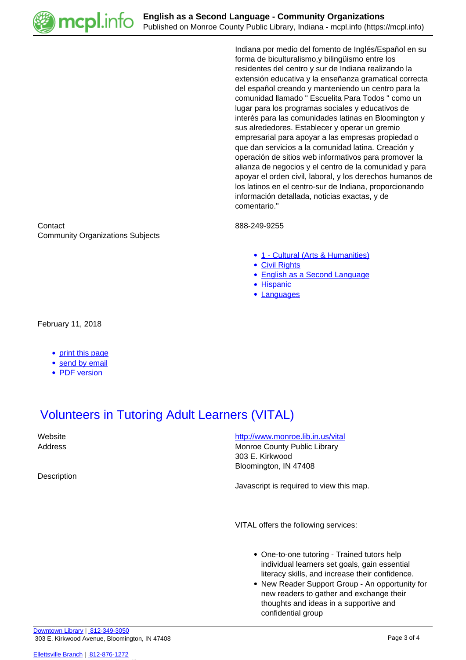

Indiana por medio del fomento de Inglés/Español en su forma de biculturalismo,y bilingüismo entre los residentes del centro y sur de Indiana realizando la extensión educativa y la enseñanza gramatical correcta del español creando y manteniendo un centro para la comunidad llamado " Escuelita Para Todos " como un lugar para los programas sociales y educativos de interés para las comunidades latinas en Bloomington y sus alrededores. Establecer y operar un gremio empresarial para apoyar a las empresas propiedad o que dan servicios a la comunidad latina. Creación y operación de sitios web informativos para promover la alianza de negocios y el centro de la comunidad y para apoyar el orden civil, laboral, y los derechos humanos de los latinos en el centro-sur de Indiana, proporcionando información detallada, noticias exactas, y de comentario."

- [1 Cultural \(Arts & Humanities\)](https://mcpl.info/community-organization-subjects/24945)
- [Civil Rights](https://mcpl.info/taxonomy/term/25013)
- [English as a Second Language](https://mcpl.info/community-organization-subjects/english-second-language)
- [Hispanic](https://mcpl.info/taxonomy/term/25179)
- [Languages](https://mcpl.info/taxonomy/term/24970)

Contact 888-249-9255 Community Organizations Subjects

February 11, 2018

- [print this page](https://mcpl.info/print/commorg/bloomington-beacon)
- [send by email](https://mcpl.info/printmail/commorg/bloomington-beacon)
- [PDF version](https://mcpl.info/printpdf/commorg/bloomington-beacon)

# [Volunteers in Tutoring Adult Learners \(VITAL\)](https://mcpl.info/commorg/volunteers-tutoring-adult-learners-vital)

**Description** 

Website **<http://www.monroe.lib.in.us/vital>** Address Monroe County Public Library 303 E. Kirkwood Bloomington, IN 47408

Javascript is required to view this map.

VITAL offers the following services:

- One-to-one tutoring Trained tutors help individual learners set goals, gain essential literacy skills, and increase their confidence.
- New Reader Support Group An opportunity for new readers to gather and exchange their thoughts and ideas in a supportive and confidential group